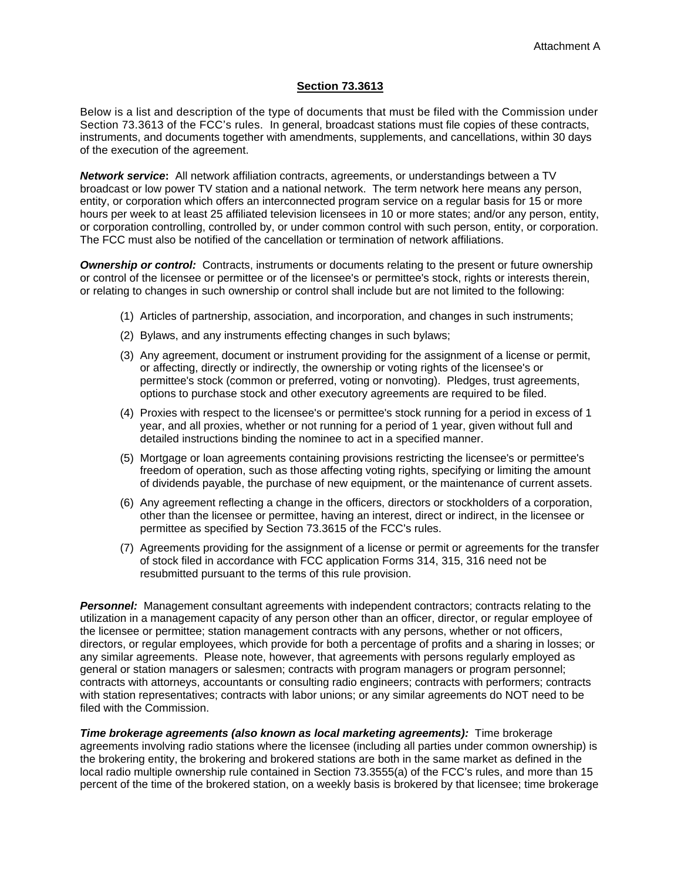## **Section 73.3613**

Below is a list and description of the type of documents that must be filed with the Commission under Section 73.3613 of the FCC's rules. In general, broadcast stations must file copies of these contracts, instruments, and documents together with amendments, supplements, and cancellations, within 30 days of the execution of the agreement.

**Network service:** All network affiliation contracts, agreements, or understandings between a TV broadcast or low power TV station and a national network. The term network here means any person, entity, or corporation which offers an interconnected program service on a regular basis for 15 or more hours per week to at least 25 affiliated television licensees in 10 or more states; and/or any person, entity, or corporation controlling, controlled by, or under common control with such person, entity, or corporation. The FCC must also be notified of the cancellation or termination of network affiliations.

**Ownership or control:** Contracts, instruments or documents relating to the present or future ownership or control of the licensee or permittee or of the licensee's or permittee's stock, rights or interests therein, or relating to changes in such ownership or control shall include but are not limited to the following:

- (1) Articles of partnership, association, and incorporation, and changes in such instruments;
- (2) Bylaws, and any instruments effecting changes in such bylaws;
- (3) Any agreement, document or instrument providing for the assignment of a license or permit, or affecting, directly or indirectly, the ownership or voting rights of the licensee's or permittee's stock (common or preferred, voting or nonvoting). Pledges, trust agreements, options to purchase stock and other executory agreements are required to be filed.
- (4) Proxies with respect to the licensee's or permittee's stock running for a period in excess of 1 year, and all proxies, whether or not running for a period of 1 year, given without full and detailed instructions binding the nominee to act in a specified manner.
- (5) Mortgage or loan agreements containing provisions restricting the licensee's or permittee's freedom of operation, such as those affecting voting rights, specifying or limiting the amount of dividends payable, the purchase of new equipment, or the maintenance of current assets.
- (6) Any agreement reflecting a change in the officers, directors or stockholders of a corporation, other than the licensee or permittee, having an interest, direct or indirect, in the licensee or permittee as specified by Section 73.3615 of the FCC's rules.
- (7) Agreements providing for the assignment of a license or permit or agreements for the transfer of stock filed in accordance with FCC application Forms 314, 315, 316 need not be resubmitted pursuant to the terms of this rule provision.

**Personnel:** Management consultant agreements with independent contractors; contracts relating to the utilization in a management capacity of any person other than an officer, director, or regular employee of the licensee or permittee; station management contracts with any persons, whether or not officers, directors, or regular employees, which provide for both a percentage of profits and a sharing in losses; or any similar agreements. Please note, however, that agreements with persons regularly employed as general or station managers or salesmen; contracts with program managers or program personnel; contracts with attorneys, accountants or consulting radio engineers; contracts with performers; contracts with station representatives; contracts with labor unions; or any similar agreements do NOT need to be filed with the Commission.

**Time brokerage agreements (also known as local marketing agreements):** Time brokerage agreements involving radio stations where the licensee (including all parties under common ownership) is the brokering entity, the brokering and brokered stations are both in the same market as defined in the local radio multiple ownership rule contained in Section 73.3555(a) of the FCC's rules, and more than 15 percent of the time of the brokered station, on a weekly basis is brokered by that licensee; time brokerage